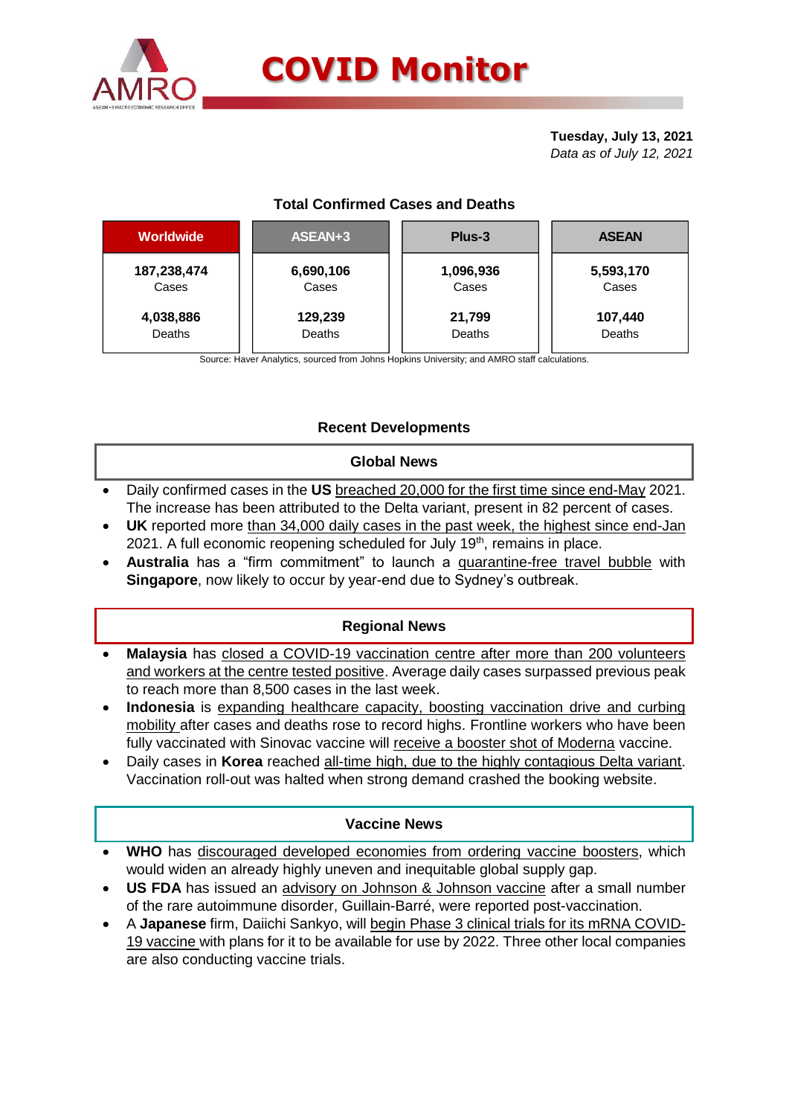

# **COVID Monitor**

**Tuesday, July 13, 2021** *Data as of July 12, 2021*

# **Total Confirmed Cases and Deaths**

| <b>Worldwide</b>   | ASEAN+3            | Plus-3             | <b>ASEAN</b>       |  |  |  |
|--------------------|--------------------|--------------------|--------------------|--|--|--|
| 187,238,474        | 6,690,106<br>Cases | 1,096,936<br>Cases | 5,593,170<br>Cases |  |  |  |
| Cases<br>4,038,886 | 129,239            | 21,799             | 107,440            |  |  |  |
| Deaths             | Deaths             | Deaths             | Deaths             |  |  |  |

Source: Haver Analytics, sourced from Johns Hopkins University; and AMRO staff calculations.

## **Recent Developments**

#### **Global News**

- Daily confirmed cases in the **US** breached 20,000 for the first time since end-May 2021. The increase has been attributed to the Delta variant, present in 82 percent of cases.
- **UK** reported more than 34,000 daily cases in the past week, the highest since end-Jan 2021. A full economic reopening scheduled for July 19<sup>th</sup>, remains in place.
- **Australia** has a "firm commitment" to launch a quarantine-free travel bubble with **Singapore**, now likely to occur by year-end due to Sydney's outbreak.

### **Regional News**

- **Malaysia** has closed a COVID-19 vaccination centre after more than 200 volunteers and workers at the centre tested positive. Average daily cases surpassed previous peak to reach more than 8,500 cases in the last week.
- **Indonesia** is expanding healthcare capacity, boosting vaccination drive and curbing mobility after cases and deaths rose to record highs. Frontline workers who have been fully vaccinated with Sinovac vaccine will receive a booster shot of Moderna vaccine.
- Daily cases in **Korea** reached all-time high, due to the highly contagious Delta variant. Vaccination roll-out was halted when strong demand crashed the booking website.

### **Vaccine News**

- **WHO** has discouraged developed economies from ordering vaccine boosters, which would widen an already highly uneven and inequitable global supply gap.
- **US FDA** has issued an advisory on Johnson & Johnson vaccine after a small number of the rare autoimmune disorder, Guillain-Barré, were reported post-vaccination.
- A **Japanese** firm, Daiichi Sankyo, will begin Phase 3 clinical trials for its mRNA COVID-19 vaccine with plans for it to be available for use by 2022. Three other local companies are also conducting vaccine trials.